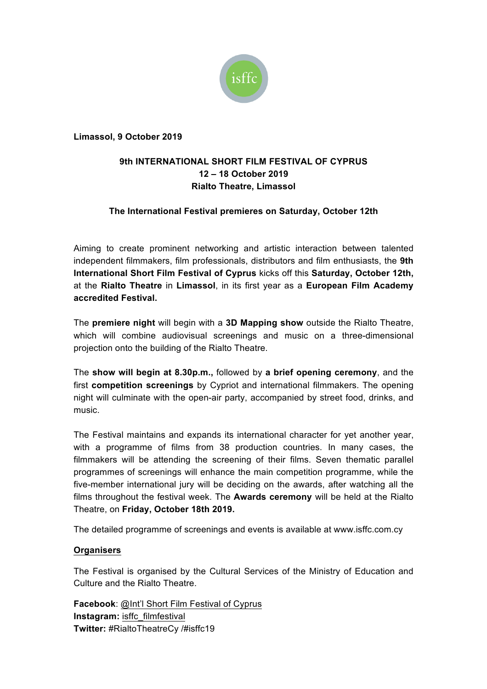

**Limassol, 9 October 2019**

## **9th INTERNATIONAL SHORT FILM FESTIVAL OF CYPRUS 12 – 18 October 2019 Rialto Theatre, Limassol**

## **The International Festival premieres on Saturday, October 12th**

Aiming to create prominent networking and artistic interaction between talented independent filmmakers, film professionals, distributors and film enthusiasts, the **9th International Short Film Festival of Cyprus** kicks off this **Saturday, October 12th,** at the **Rialto Theatre** in **Limassol**, in its first year as a **European Film Academy accredited Festival.**

Τhe **premiere night** will begin with a **3D Mapping show** outside the Rialto Theatre, which will combine audiovisual screenings and music on a three-dimensional projection onto the building of the Rialto Theatre.

The **show will begin at 8.30p.m.,** followed by **a brief opening ceremony**, and the first **competition screenings** by Cypriot and international filmmakers. The opening night will culminate with the open-air party, accompanied by street food, drinks, and music.

The Festival maintains and expands its international character for yet another year, with a programme of films from 38 production countries. In many cases, the filmmakers will be attending the screening of their films. Seven thematic parallel programmes of screenings will enhance the main competition programme, while the five-member international jury will be deciding on the awards, after watching all the films throughout the festival week. The **Awards ceremony** will be held at the Rialto Theatre, on **Friday, October 18th 2019.**

The detailed programme of screenings and events is available at www.isffc.com.cy

## **Organisers**

The Festival is organised by the Cultural Services of the Ministry of Education and Culture and the Rialto Theatre.

**Facebook**: @Int'l Short Film Festival of Cyprus **Instagram:** isffc\_filmfestival **Twitter:** #RialtoTheatreCy /#isffc19